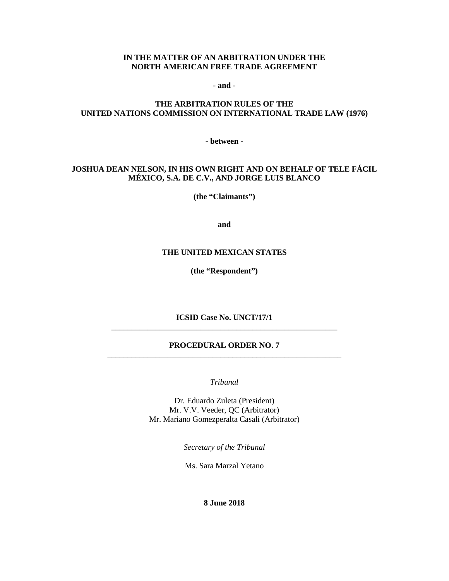#### **IN THE MATTER OF AN ARBITRATION UNDER THE NORTH AMERICAN FREE TRADE AGREEMENT**

**- and -**

## **THE ARBITRATION RULES OF THE UNITED NATIONS COMMISSION ON INTERNATIONAL TRADE LAW (1976)**

**- between -**

## **JOSHUA DEAN NELSON, IN HIS OWN RIGHT AND ON BEHALF OF TELE FÁCIL MÉXICO, S.A. DE C.V., AND JORGE LUIS BLANCO**

**(the "Claimants")**

**and**

#### **THE UNITED MEXICAN STATES**

**(the "Respondent")**

**ICSID Case No. UNCT/17/1** \_\_\_\_\_\_\_\_\_\_\_\_\_\_\_\_\_\_\_\_\_\_\_\_\_\_\_\_\_\_\_\_\_\_\_\_\_\_\_\_\_\_\_\_\_\_\_\_\_\_\_\_\_\_\_\_

## **PROCEDURAL ORDER NO. 7** \_\_\_\_\_\_\_\_\_\_\_\_\_\_\_\_\_\_\_\_\_\_\_\_\_\_\_\_\_\_\_\_\_\_\_\_\_\_\_\_\_\_\_\_\_\_\_\_\_\_\_\_\_\_\_\_\_\_

*Tribunal*

Dr. Eduardo Zuleta (President) Mr. V.V. Veeder, QC (Arbitrator) Mr. Mariano Gomezperalta Casali (Arbitrator)

*Secretary of the Tribunal*

Ms. Sara Marzal Yetano

**8 June 2018**